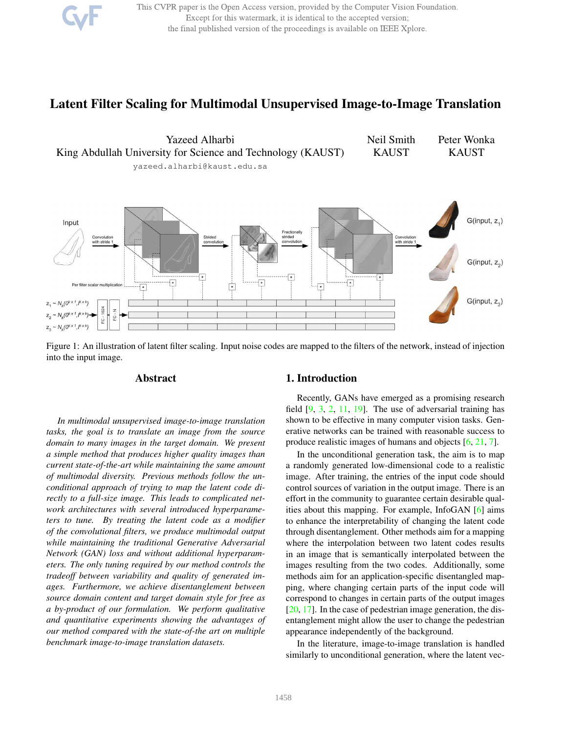This CVPR paper is the Open Access version, provided by the Computer Vision Foundation. Except for this watermark, it is identical to the accepted version; the final published version of the proceedings is available on IEEE Xplore.

# Latent Filter Scaling for Multimodal Unsupervised Image-to-Image Translation



Figure 1: An illustration of latent filter scaling. Input noise codes are mapped to the filters of the network, instead of injection into the input image.

# Abstract

*In multimodal unsupervised image-to-image translation tasks, the goal is to translate an image from the source domain to many images in the target domain. We present a simple method that produces higher quality images than current state-of-the-art while maintaining the same amount of multimodal diversity. Previous methods follow the unconditional approach of trying to map the latent code directly to a full-size image. This leads to complicated network architectures with several introduced hyperparameters to tune. By treating the latent code as a modifier of the convolutional filters, we produce multimodal output while maintaining the traditional Generative Adversarial Network (GAN) loss and without additional hyperparameters. The only tuning required by our method controls the tradeoff between variability and quality of generated images. Furthermore, we achieve disentanglement between source domain content and target domain style for free as a by-product of our formulation. We perform qualitative and quantitative experiments showing the advantages of our method compared with the state-of-the art on multiple benchmark image-to-image translation datasets.*

1. Introduction

Recently, GANs have emerged as a promising research field [9, 3, 2, 11, 19]. The use of adversarial training has shown to be effective in many computer vision tasks. Generative networks can be trained with reasonable success to produce realistic images of humans and objects [6, 21, 7].

In the unconditional generation task, the aim is to map a randomly generated low-dimensional code to a realistic image. After training, the entries of the input code should control sources of variation in the output image. There is an effort in the community to guarantee certain desirable qualities about this mapping. For example, InfoGAN [6] aims to enhance the interpretability of changing the latent code through disentanglement. Other methods aim for a mapping where the interpolation between two latent codes results in an image that is semantically interpolated between the images resulting from the two codes. Additionally, some methods aim for an application-specific disentangled mapping, where changing certain parts of the input code will correspond to changes in certain parts of the output images [20, 17]. In the case of pedestrian image generation, the disentanglement might allow the user to change the pedestrian appearance independently of the background.

In the literature, image-to-image translation is handled similarly to unconditional generation, where the latent vec-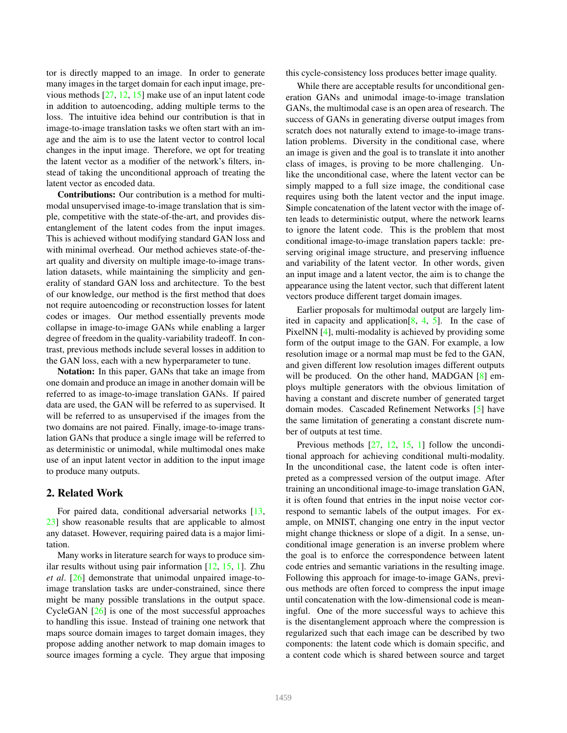tor is directly mapped to an image. In order to generate many images in the target domain for each input image, previous methods [27, 12, 15] make use of an input latent code in addition to autoencoding, adding multiple terms to the loss. The intuitive idea behind our contribution is that in image-to-image translation tasks we often start with an image and the aim is to use the latent vector to control local changes in the input image. Therefore, we opt for treating the latent vector as a modifier of the network's filters, instead of taking the unconditional approach of treating the latent vector as encoded data.

Contributions: Our contribution is a method for multimodal unsupervised image-to-image translation that is simple, competitive with the state-of-the-art, and provides disentanglement of the latent codes from the input images. This is achieved without modifying standard GAN loss and with minimal overhead. Our method achieves state-of-theart quality and diversity on multiple image-to-image translation datasets, while maintaining the simplicity and generality of standard GAN loss and architecture. To the best of our knowledge, our method is the first method that does not require autoencoding or reconstruction losses for latent codes or images. Our method essentially prevents mode collapse in image-to-image GANs while enabling a larger degree of freedom in the quality-variability tradeoff. In contrast, previous methods include several losses in addition to the GAN loss, each with a new hyperparameter to tune.

Notation: In this paper, GANs that take an image from one domain and produce an image in another domain will be referred to as image-to-image translation GANs. If paired data are used, the GAN will be referred to as supervised. It will be referred to as unsupervised if the images from the two domains are not paired. Finally, image-to-image translation GANs that produce a single image will be referred to as deterministic or unimodal, while multimodal ones make use of an input latent vector in addition to the input image to produce many outputs.

# 2. Related Work

For paired data, conditional adversarial networks [13, 23] show reasonable results that are applicable to almost any dataset. However, requiring paired data is a major limitation.

Many works in literature search for ways to produce similar results without using pair information [12, 15, 1]. Zhu *et al*. [26] demonstrate that unimodal unpaired image-toimage translation tasks are under-constrained, since there might be many possible translations in the output space. CycleGAN [26] is one of the most successful approaches to handling this issue. Instead of training one network that maps source domain images to target domain images, they propose adding another network to map domain images to source images forming a cycle. They argue that imposing this cycle-consistency loss produces better image quality.

While there are acceptable results for unconditional generation GANs and unimodal image-to-image translation GANs, the multimodal case is an open area of research. The success of GANs in generating diverse output images from scratch does not naturally extend to image-to-image translation problems. Diversity in the conditional case, where an image is given and the goal is to translate it into another class of images, is proving to be more challenging. Unlike the unconditional case, where the latent vector can be simply mapped to a full size image, the conditional case requires using both the latent vector and the input image. Simple concatenation of the latent vector with the image often leads to deterministic output, where the network learns to ignore the latent code. This is the problem that most conditional image-to-image translation papers tackle: preserving original image structure, and preserving influence and variability of the latent vector. In other words, given an input image and a latent vector, the aim is to change the appearance using the latent vector, such that different latent vectors produce different target domain images.

Earlier proposals for multimodal output are largely limited in capacity and application $[8, 4, 5]$ . In the case of PixelNN [4], multi-modality is achieved by providing some form of the output image to the GAN. For example, a low resolution image or a normal map must be fed to the GAN, and given different low resolution images different outputs will be produced. On the other hand, MADGAN [8] employs multiple generators with the obvious limitation of having a constant and discrete number of generated target domain modes. Cascaded Refinement Networks [5] have the same limitation of generating a constant discrete number of outputs at test time.

Previous methods [27, 12, 15, 1] follow the unconditional approach for achieving conditional multi-modality. In the unconditional case, the latent code is often interpreted as a compressed version of the output image. After training an unconditional image-to-image translation GAN, it is often found that entries in the input noise vector correspond to semantic labels of the output images. For example, on MNIST, changing one entry in the input vector might change thickness or slope of a digit. In a sense, unconditional image generation is an inverse problem where the goal is to enforce the correspondence between latent code entries and semantic variations in the resulting image. Following this approach for image-to-image GANs, previous methods are often forced to compress the input image until concatenation with the low-dimensional code is meaningful. One of the more successful ways to achieve this is the disentanglement approach where the compression is regularized such that each image can be described by two components: the latent code which is domain specific, and a content code which is shared between source and target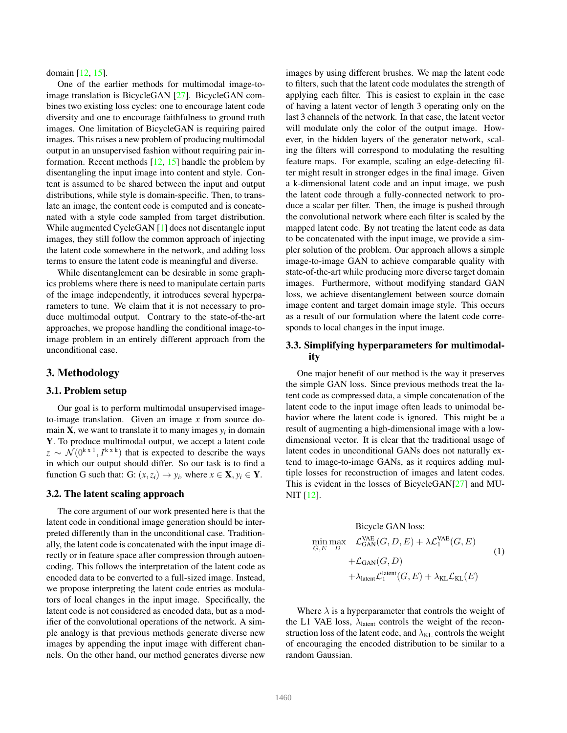#### domain [12, 15].

One of the earlier methods for multimodal image-toimage translation is BicycleGAN [27]. BicycleGAN combines two existing loss cycles: one to encourage latent code diversity and one to encourage faithfulness to ground truth images. One limitation of BicycleGAN is requiring paired images. This raises a new problem of producing multimodal output in an unsupervised fashion without requiring pair information. Recent methods  $[12, 15]$  handle the problem by disentangling the input image into content and style. Content is assumed to be shared between the input and output distributions, while style is domain-specific. Then, to translate an image, the content code is computed and is concatenated with a style code sampled from target distribution. While augmented CycleGAN [1] does not disentangle input images, they still follow the common approach of injecting the latent code somewhere in the network, and adding loss terms to ensure the latent code is meaningful and diverse.

While disentanglement can be desirable in some graphics problems where there is need to manipulate certain parts of the image independently, it introduces several hyperparameters to tune. We claim that it is not necessary to produce multimodal output. Contrary to the state-of-the-art approaches, we propose handling the conditional image-toimage problem in an entirely different approach from the unconditional case.

## 3. Methodology

# 3.1. Problem setup

Our goal is to perform multimodal unsupervised imageto-image translation. Given an image *x* from source domain **X**, we want to translate it to many images  $y_i$  in domain Y. To produce multimodal output, we accept a latent code  $z \sim \mathcal{N}(0^{k \times 1}, I^{k \times k})$  that is expected to describe the ways in which our output should differ. So our task is to find a function G such that: G:  $(x, z_i) \rightarrow y_i$ , where  $x \in \mathbf{X}, y_i \in \mathbf{Y}$ .

#### 3.2. The latent scaling approach

The core argument of our work presented here is that the latent code in conditional image generation should be interpreted differently than in the unconditional case. Traditionally, the latent code is concatenated with the input image directly or in feature space after compression through autoencoding. This follows the interpretation of the latent code as encoded data to be converted to a full-sized image. Instead, we propose interpreting the latent code entries as modulators of local changes in the input image. Specifically, the latent code is not considered as encoded data, but as a modifier of the convolutional operations of the network. A simple analogy is that previous methods generate diverse new images by appending the input image with different channels. On the other hand, our method generates diverse new

images by using different brushes. We map the latent code to filters, such that the latent code modulates the strength of applying each filter. This is easiest to explain in the case of having a latent vector of length 3 operating only on the last 3 channels of the network. In that case, the latent vector will modulate only the color of the output image. However, in the hidden layers of the generator network, scaling the filters will correspond to modulating the resulting feature maps. For example, scaling an edge-detecting filter might result in stronger edges in the final image. Given a k-dimensional latent code and an input image, we push the latent code through a fully-connected network to produce a scalar per filter. Then, the image is pushed through the convolutional network where each filter is scaled by the mapped latent code. By not treating the latent code as data to be concatenated with the input image, we provide a simpler solution of the problem. Our approach allows a simple image-to-image GAN to achieve comparable quality with state-of-the-art while producing more diverse target domain images. Furthermore, without modifying standard GAN loss, we achieve disentanglement between source domain image content and target domain image style. This occurs as a result of our formulation where the latent code corresponds to local changes in the input image.

# 3.3. Simplifying hyperparameters for multimodality

One major benefit of our method is the way it preserves the simple GAN loss. Since previous methods treat the latent code as compressed data, a simple concatenation of the latent code to the input image often leads to unimodal behavior where the latent code is ignored. This might be a result of augmenting a high-dimensional image with a lowdimensional vector. It is clear that the traditional usage of latent codes in unconditional GANs does not naturally extend to image-to-image GANs, as it requires adding multiple losses for reconstruction of images and latent codes. This is evident in the losses of BicycleGAN[27] and MU-NIT [12].

Bicycle GAN loss:  
\n
$$
\min_{G,E} \max_{D} \mathcal{L}_{GAN}^{VAE}(G, D, E) + \lambda \mathcal{L}_{1}^{VAE}(G, E)
$$
\n
$$
+ \mathcal{L}_{GAN}(G, D)
$$
\n
$$
+ \lambda_{\text{latent}} \mathcal{L}_{1}^{\text{latent}}(G, E) + \lambda_{KL} \mathcal{L}_{KL}(E)
$$
\n(1)

Where  $\lambda$  is a hyperparameter that controls the weight of the L1 VAE loss,  $\lambda_{\text{latent}}$  controls the weight of the reconstruction loss of the latent code, and  $\lambda_{KL}$  controls the weight of encouraging the encoded distribution to be similar to a random Gaussian.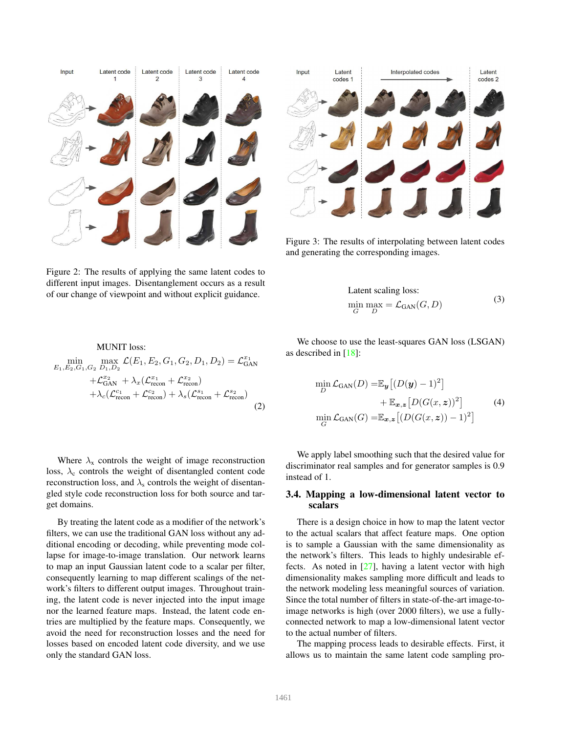

Figure 2: The results of applying the same latent codes to different input images. Disentanglement occurs as a result of our change of viewpoint and without explicit guidance.

min max  $\mathcal{L}(E_1, E_2, G_1, G_2, D_1, D_2) = \mathcal{L}_{GAN}^{x_1}$  $+\mathcal{L}^{x_2}_{\text{GAN}} + \lambda_x(\mathcal{L}^{x_1}_{\text{recon}} + \mathcal{L}^{x_2}_{\text{recon}})$  $+ \lambda_c ( \mathcal{L}^{c_1}_{\rm recon} + \mathcal{L}^{c_2}_{\rm recon} ) + \lambda_s ( \mathcal{L}^{s_1}_{\rm recon} + \mathcal{L}^{s_2}_{\rm recon} )$ (2)

MUNIT loss:

Where  $\lambda_x$  controls the weight of image reconstruction loss,  $\lambda_c$  controls the weight of disentangled content code reconstruction loss, and  $\lambda_s$  controls the weight of disentangled style code reconstruction loss for both source and target domains.

By treating the latent code as a modifier of the network's filters, we can use the traditional GAN loss without any additional encoding or decoding, while preventing mode collapse for image-to-image translation. Our network learns to map an input Gaussian latent code to a scalar per filter, consequently learning to map different scalings of the network's filters to different output images. Throughout training, the latent code is never injected into the input image nor the learned feature maps. Instead, the latent code entries are multiplied by the feature maps. Consequently, we avoid the need for reconstruction losses and the need for losses based on encoded latent code diversity, and we use only the standard GAN loss.



Figure 3: The results of interpolating between latent codes and generating the corresponding images.

$$
\text{Latent scaling loss:}\n\min_{G} \max_{D} = \mathcal{L}_{\text{GAN}}(G, D)\n\tag{3}
$$

We choose to use the least-squares GAN loss (LSGAN) as described in  $[18]$ :

$$
\min_{D} \mathcal{L}_{GAN}(D) = \mathbb{E}_{\mathbf{y}} \left[ (D(\mathbf{y}) - 1)^2 \right] \n+ \mathbb{E}_{\mathbf{x}, \mathbf{z}} \left[ D(G(x, \mathbf{z}))^2 \right] \n\min_{G} \mathcal{L}_{GAN}(G) = \mathbb{E}_{\mathbf{x}, \mathbf{z}} \left[ (D(G(x, \mathbf{z})) - 1)^2 \right]
$$
\n(4)

We apply label smoothing such that the desired value for discriminator real samples and for generator samples is 0.9 instead of 1.

# 3.4. Mapping a low-dimensional latent vector to scalars

There is a design choice in how to map the latent vector to the actual scalars that affect feature maps. One option is to sample a Gaussian with the same dimensionality as the network's filters. This leads to highly undesirable effects. As noted in [27], having a latent vector with high dimensionality makes sampling more difficult and leads to the network modeling less meaningful sources of variation. Since the total number of filters in state-of-the-art image-toimage networks is high (over 2000 filters), we use a fullyconnected network to map a low-dimensional latent vector to the actual number of filters.

The mapping process leads to desirable effects. First, it allows us to maintain the same latent code sampling pro-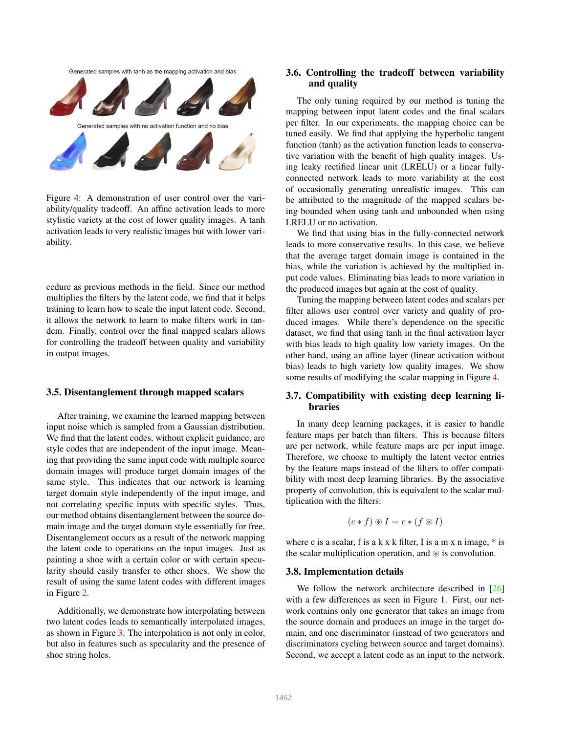

Figure 4: A demonstration of user control over the variability/quality tradeoff. An affine activation leads to more stylistic variety at the cost of lower quality images. A tanh activation leads to very realistic images but with lower variability.

cedure as previous methods in the field. Since our method multiplies the filters by the latent code, we find that it helps training to learn how to scale the input latent code. Second, it allows the network to learn to make filters work in tandem. Finally, control over the final mapped scalars allows for controlling the tradeoff between quality and variability in output images.

#### 3.5. Disentanglement through mapped scalars

After training, we examine the learned mapping between input noise which is sampled from a Gaussian distribution. We find that the latent codes, without explicit guidance, are style codes that are independent of the input image. Meaning that providing the same input code with multiple source domain images will produce target domain images of the same style. This indicates that our network is learning target domain style independently of the input image, and not correlating specific inputs with specific styles. Thus, our method obtains disentanglement between the source domain image and the target domain style essentially for free. Disentanglement occurs as a result of the network mapping the latent code to operations on the input images. Just as painting a shoe with a certain color or with certain specularity should easily transfer to other shoes. We show the result of using the same latent codes with different images in Figure 2.

Additionally, we demonstrate how interpolating between two latent codes leads to semantically interpolated images, as shown in Figure 3. The interpolation is not only in color, but also in features such as specularity and the presence of shoe string holes.

# 3.6. Controlling the tradeoff between variability and quality

The only tuning required by our method is tuning the mapping between input latent codes and the final scalars per filter. In our experiments, the mapping choice can be tuned easily. We find that applying the hyperbolic tangent function (tanh) as the activation function leads to conservative variation with the benefit of high quality images. Using leaky rectified linear unit (LRELU) or a linear fullyconnected network leads to more variability at the cost of occasionally generating unrealistic images. This can be attributed to the magnitude of the mapped scalars being bounded when using tanh and unbounded when using LRELU or no activation.

We find that using bias in the fully-connected network leads to more conservative results. In this case, we believe that the average target domain image is contained in the bias, while the variation is achieved by the multiplied input code values. Eliminating bias leads to more variation in the produced images but again at the cost of quality.

Tuning the mapping between latent codes and scalars per filter allows user control over variety and quality of produced images. While there's dependence on the specific dataset, we find that using tanh in the final activation layer with bias leads to high quality low variety images. On the other hand, using an affine layer (linear activation without bias) leads to high variety low quality images. We show some results of modifying the scalar mapping in Figure 4.

# 3.7. Compatibility with existing deep learning libraries

In many deep learning packages, it is easier to handle feature maps per batch than filters. This is because filters are per network, while feature maps are per input image. Therefore, we choose to multiply the latent vector entries by the feature maps instead of the filters to offer compatibility with most deep learning libraries. By the associative property of convolution, this is equivalent to the scalar multiplication with the filters:

$$
(c * f) \circledast I = c * (f \circledast I)
$$

where c is a scalar, f is a k x k filter, I is a m x n image,  $*$  is the scalar multiplication operation, and ⊛ is convolution.

#### 3.8. Implementation details

We follow the network architecture described in [26] with a few differences as seen in Figure 1. First, our network contains only one generator that takes an image from the source domain and produces an image in the target domain, and one discriminator (instead of two generators and discriminators cycling between source and target domains). Second, we accept a latent code as an input to the network.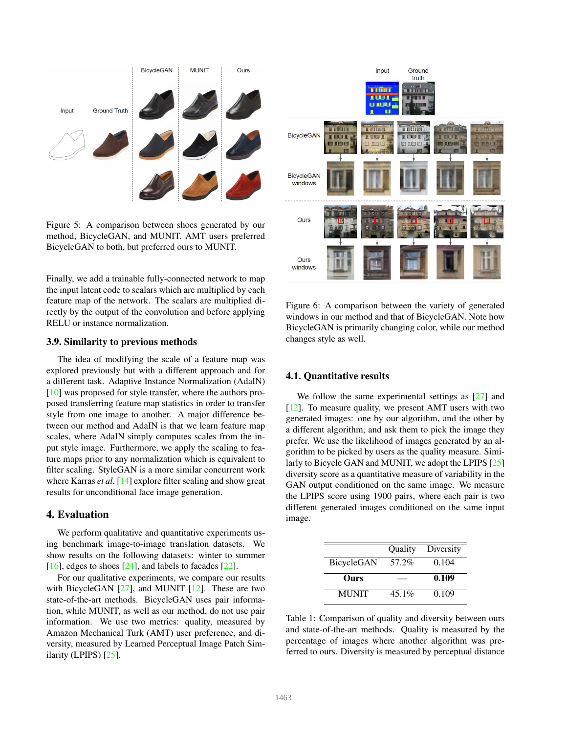

Figure 5: A comparison between shoes generated by our method, BicycleGAN, and MUNIT. AMT users preferred BicycleGAN to both, but preferred ours to MUNIT.

Finally, we add a trainable fully-connected network to map the input latent code to scalars which are multiplied by each feature map of the network. The scalars are multiplied directly by the output of the convolution and before applying RELU or instance normalization.

#### 3.9. Similarity to previous methods

The idea of modifying the scale of a feature map was explored previously but with a different approach and for a different task. Adaptive Instance Normalization (AdaIN) [10] was proposed for style transfer, where the authors proposed transferring feature map statistics in order to transfer style from one image to another. A major difference between our method and AdaIN is that we learn feature map scales, where AdaIN simply computes scales from the input style image. Furthermore, we apply the scaling to feature maps prior to any normalization which is equivalent to filter scaling. StyleGAN is a more similar concurrent work where Karras *et al*. [14] explore filter scaling and show great results for unconditional face image generation.

# 4. Evaluation

We perform qualitative and quantitative experiments using benchmark image-to-image translation datasets. We show results on the following datasets: winter to summer  $[16]$ , edges to shoes  $[24]$ , and labels to facades  $[22]$ .

For our qualitative experiments, we compare our results with BicycleGAN  $[27]$ , and MUNIT  $[12]$ . These are two state-of-the-art methods. BicycleGAN uses pair information, while MUNIT, as well as our method, do not use pair information. We use two metrics: quality, measured by Amazon Mechanical Turk (AMT) user preference, and diversity, measured by Learned Perceptual Image Patch Similarity (LPIPS) [25].



Figure 6: A comparison between the variety of generated windows in our method and that of BicycleGAN. Note how BicycleGAN is primarily changing color, while our method changes style as well.

# 4.1. Quantitative results

We follow the same experimental settings as [27] and  $[12]$ . To measure quality, we present AMT users with two generated images: one by our algorithm, and the other by a different algorithm, and ask them to pick the image they prefer. We use the likelihood of images generated by an algorithm to be picked by users as the quality measure. Similarly to Bicycle GAN and MUNIT, we adopt the LPIPS [25] diversity score as a quantitative measure of variability in the GAN output conditioned on the same image. We measure the LPIPS score using 1900 pairs, where each pair is two different generated images conditioned on the same input image.

|              | Quality  | Diversity |
|--------------|----------|-----------|
| BicycleGAN   | 57.2%    | 0.104     |
| Ours         |          | 0.109     |
| <b>MUNIT</b> | $45.1\%$ | 0.109     |

Table 1: Comparison of quality and diversity between ours and state-of-the-art methods. Quality is measured by the percentage of images where another algorithm was preferred to ours. Diversity is measured by perceptual distance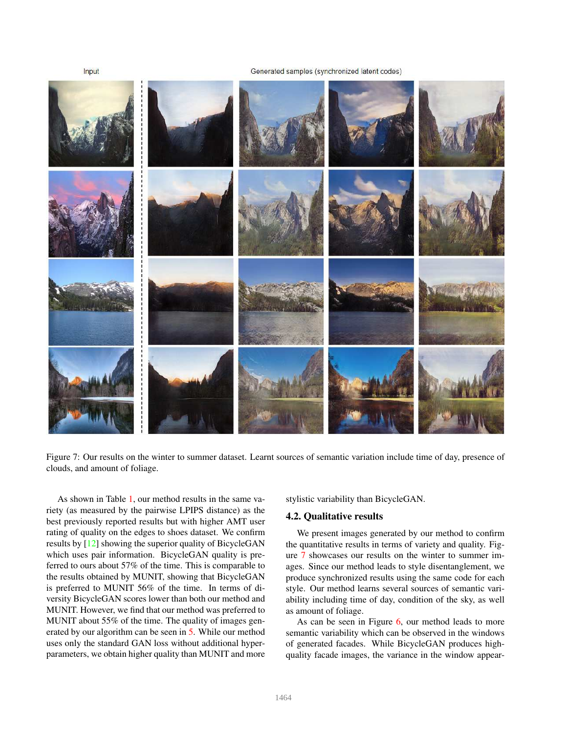Input

Generated samples (synchronized latent codes)



Figure 7: Our results on the winter to summer dataset. Learnt sources of semantic variation include time of day, presence of clouds, and amount of foliage.

As shown in Table 1, our method results in the same variety (as measured by the pairwise LPIPS distance) as the best previously reported results but with higher AMT user rating of quality on the edges to shoes dataset. We confirm results by [12] showing the superior quality of BicycleGAN which uses pair information. BicycleGAN quality is preferred to ours about 57% of the time. This is comparable to the results obtained by MUNIT, showing that BicycleGAN is preferred to MUNIT 56% of the time. In terms of diversity BicycleGAN scores lower than both our method and MUNIT. However, we find that our method was preferred to MUNIT about 55% of the time. The quality of images generated by our algorithm can be seen in 5. While our method uses only the standard GAN loss without additional hyperparameters, we obtain higher quality than MUNIT and more

stylistic variability than BicycleGAN.

#### 4.2. Qualitative results

We present images generated by our method to confirm the quantitative results in terms of variety and quality. Figure 7 showcases our results on the winter to summer images. Since our method leads to style disentanglement, we produce synchronized results using the same code for each style. Our method learns several sources of semantic variability including time of day, condition of the sky, as well as amount of foliage.

As can be seen in Figure 6, our method leads to more semantic variability which can be observed in the windows of generated facades. While BicycleGAN produces highquality facade images, the variance in the window appear-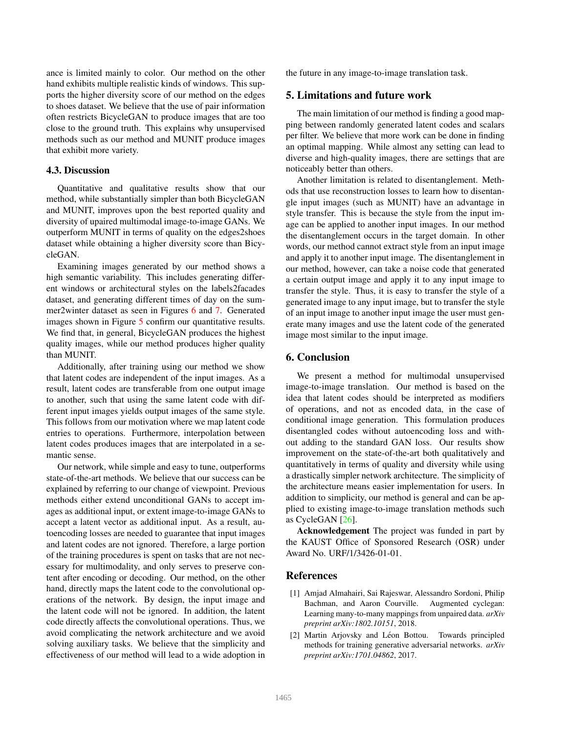ance is limited mainly to color. Our method on the other hand exhibits multiple realistic kinds of windows. This supports the higher diversity score of our method on the edges to shoes dataset. We believe that the use of pair information often restricts BicycleGAN to produce images that are too close to the ground truth. This explains why unsupervised methods such as our method and MUNIT produce images that exhibit more variety.

# 4.3. Discussion

Quantitative and qualitative results show that our method, while substantially simpler than both BicycleGAN and MUNIT, improves upon the best reported quality and diversity of upaired multimodal image-to-image GANs. We outperform MUNIT in terms of quality on the edges2shoes dataset while obtaining a higher diversity score than BicycleGAN.

Examining images generated by our method shows a high semantic variability. This includes generating different windows or architectural styles on the labels2facades dataset, and generating different times of day on the summer2winter dataset as seen in Figures 6 and 7. Generated images shown in Figure 5 confirm our quantitative results. We find that, in general, BicycleGAN produces the highest quality images, while our method produces higher quality than MUNIT.

Additionally, after training using our method we show that latent codes are independent of the input images. As a result, latent codes are transferable from one output image to another, such that using the same latent code with different input images yields output images of the same style. This follows from our motivation where we map latent code entries to operations. Furthermore, interpolation between latent codes produces images that are interpolated in a semantic sense.

Our network, while simple and easy to tune, outperforms state-of-the-art methods. We believe that our success can be explained by referring to our change of viewpoint. Previous methods either extend unconditional GANs to accept images as additional input, or extent image-to-image GANs to accept a latent vector as additional input. As a result, autoencoding losses are needed to guarantee that input images and latent codes are not ignored. Therefore, a large portion of the training procedures is spent on tasks that are not necessary for multimodality, and only serves to preserve content after encoding or decoding. Our method, on the other hand, directly maps the latent code to the convolutional operations of the network. By design, the input image and the latent code will not be ignored. In addition, the latent code directly affects the convolutional operations. Thus, we avoid complicating the network architecture and we avoid solving auxiliary tasks. We believe that the simplicity and effectiveness of our method will lead to a wide adoption in the future in any image-to-image translation task.

#### 5. Limitations and future work

The main limitation of our method is finding a good mapping between randomly generated latent codes and scalars per filter. We believe that more work can be done in finding an optimal mapping. While almost any setting can lead to diverse and high-quality images, there are settings that are noticeably better than others.

Another limitation is related to disentanglement. Methods that use reconstruction losses to learn how to disentangle input images (such as MUNIT) have an advantage in style transfer. This is because the style from the input image can be applied to another input images. In our method the disentanglement occurs in the target domain. In other words, our method cannot extract style from an input image and apply it to another input image. The disentanglement in our method, however, can take a noise code that generated a certain output image and apply it to any input image to transfer the style. Thus, it is easy to transfer the style of a generated image to any input image, but to transfer the style of an input image to another input image the user must generate many images and use the latent code of the generated image most similar to the input image.

# 6. Conclusion

We present a method for multimodal unsupervised image-to-image translation. Our method is based on the idea that latent codes should be interpreted as modifiers of operations, and not as encoded data, in the case of conditional image generation. This formulation produces disentangled codes without autoencoding loss and without adding to the standard GAN loss. Our results show improvement on the state-of-the-art both qualitatively and quantitatively in terms of quality and diversity while using a drastically simpler network architecture. The simplicity of the architecture means easier implementation for users. In addition to simplicity, our method is general and can be applied to existing image-to-image translation methods such as CycleGAN [26].

Acknowledgement The project was funded in part by the KAUST Office of Sponsored Research (OSR) under Award No. URF/1/3426-01-01.

# References

- [1] Amjad Almahairi, Sai Rajeswar, Alessandro Sordoni, Philip Bachman, and Aaron Courville. Augmented cyclegan: Learning many-to-many mappings from unpaired data. *arXiv preprint arXiv:1802.10151*, 2018.
- [2] Martin Arjovsky and Léon Bottou. Towards principled methods for training generative adversarial networks. *arXiv preprint arXiv:1701.04862*, 2017.